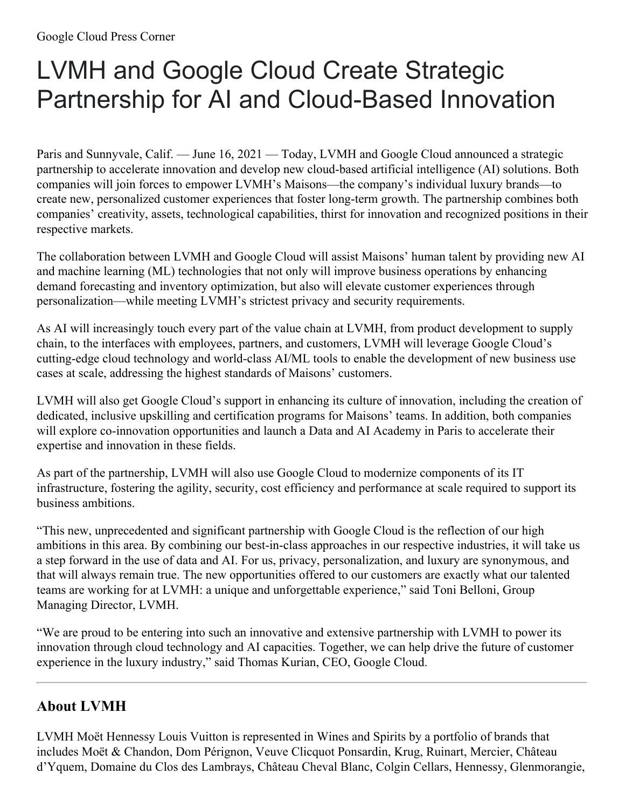## LVMH and Google Cloud Create Strategic Partnership for AI and Cloud-Based Innovation

Paris and Sunnyvale, Calif. — June 16, 2021 — Today, LVMH and Google Cloud announced a strategic partnership to accelerate innovation and develop new cloud-based artificial intelligence (AI) solutions. Both companies will join forces to empower LVMH's Maisons—the company's individual luxury brands—to create new, personalized customer experiences that foster long-term growth. The partnership combines both companies' creativity, assets, technological capabilities, thirst for innovation and recognized positions in their respective markets.

The collaboration between LVMH and Google Cloud will assist Maisons' human talent by providing new AI and machine learning (ML) technologies that not only will improve business operations by enhancing demand forecasting and inventory optimization, but also will elevate customer experiences through personalization—while meeting LVMH's strictest privacy and security requirements.

As AI will increasingly touch every part of the value chain at LVMH, from product development to supply chain, to the interfaces with employees, partners, and customers, LVMH will leverage Google Cloud's cutting-edge cloud technology and world-class AI/ML tools to enable the development of new business use cases at scale, addressing the highest standards of Maisons' customers.

LVMH will also get Google Cloud's support in enhancing its culture of innovation, including the creation of dedicated, inclusive upskilling and certification programs for Maisons' teams. In addition, both companies will explore co-innovation opportunities and launch a Data and AI Academy in Paris to accelerate their expertise and innovation in these fields.

As part of the partnership, LVMH will also use Google Cloud to modernize components of its IT infrastructure, fostering the agility, security, cost efficiency and performance at scale required to support its business ambitions.

"This new, unprecedented and significant partnership with Google Cloud is the reflection of our high ambitions in this area. By combining our best-in-class approaches in our respective industries, it will take us a step forward in the use of data and AI. For us, privacy, personalization, and luxury are synonymous, and that will always remain true. The new opportunities offered to our customers are exactly what our talented teams are working for at LVMH: a unique and unforgettable experience," said Toni Belloni, Group Managing Director, LVMH.

"We are proud to be entering into such an innovative and extensive partnership with LVMH to power its innovation through cloud technology and AI capacities. Together, we can help drive the future of customer experience in the luxury industry," said Thomas Kurian, CEO, Google Cloud.

## **About LVMH**

LVMH Moët Hennessy Louis Vuitton is represented in Wines and Spirits by a portfolio of brands that includes Moët & Chandon, Dom Pérignon, Veuve Clicquot Ponsardin, Krug, Ruinart, Mercier, Château d'Yquem, Domaine du Clos des Lambrays, Château Cheval Blanc, Colgin Cellars, Hennessy, Glenmorangie,